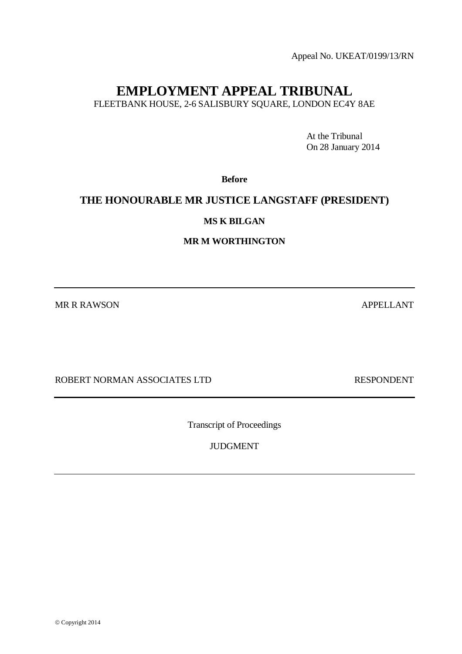Appeal No. UKEAT/0199/13/RN

# **EMPLOYMENT APPEAL TRIBUNAL**

FLEETBANK HOUSE, 2-6 SALISBURY SQUARE, LONDON EC4Y 8AE

At the Tribunal On 28 January 2014

**Before**

# **THE HONOURABLE MR JUSTICE LANGSTAFF (PRESIDENT)**

**MS K BILGAN**

**MR M WORTHINGTON**

MR R RAWSON APPELLANT

ROBERT NORMAN ASSOCIATES LTD RESPONDENT

Transcript of Proceedings

JUDGMENT

 $©$  Copyright 2014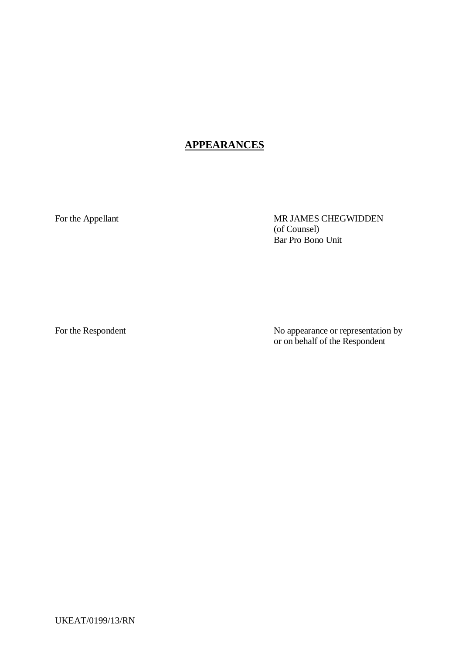# **APPEARANCES**

For the Appellant MR JAMES CHEGWIDDEN (of Counsel) Bar Pro Bono Unit

For the Respondent No appearance or representation by or on behalf of the Respondent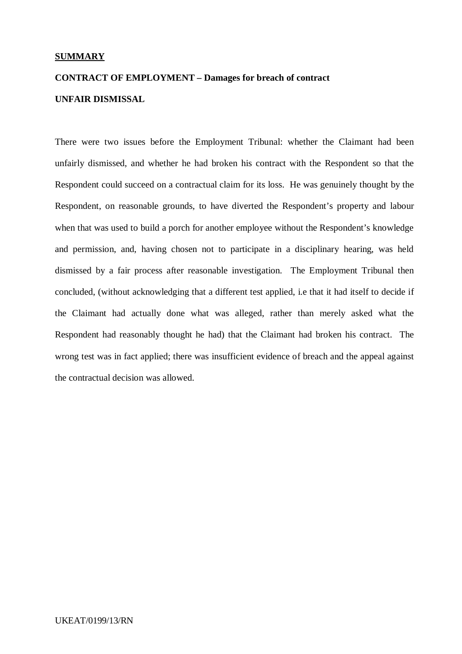# **SUMMARY**

# **CONTRACT OF EMPLOYMENT – Damages for breach of contract UNFAIR DISMISSAL**

There were two issues before the Employment Tribunal: whether the Claimant had been unfairly dismissed, and whether he had broken his contract with the Respondent so that the Respondent could succeed on a contractual claim for its loss. He was genuinely thought by the Respondent, on reasonable grounds, to have diverted the Respondent's property and labour when that was used to build a porch for another employee without the Respondent's knowledge and permission, and, having chosen not to participate in a disciplinary hearing, was held dismissed by a fair process after reasonable investigation. The Employment Tribunal then concluded, (without acknowledging that a different test applied, i.e that it had itself to decide if the Claimant had actually done what was alleged, rather than merely asked what the Respondent had reasonably thought he had) that the Claimant had broken his contract. The wrong test was in fact applied; there was insufficient evidence of breach and the appeal against the contractual decision was allowed.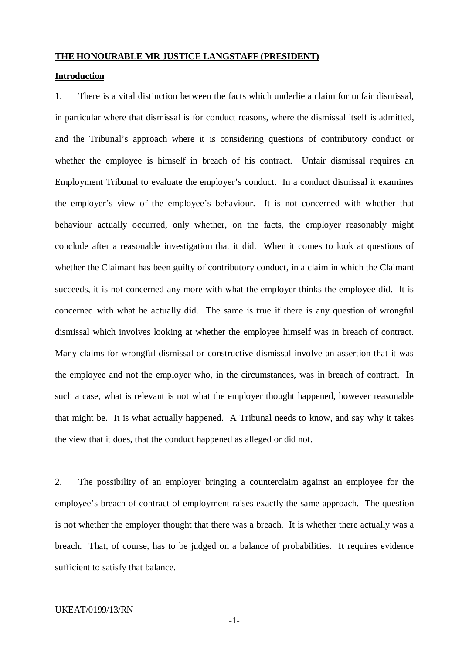### **THE HONOURABLE MR JUSTICE LANGSTAFF (PRESIDENT)**

#### **Introduction**

1. There is a vital distinction between the facts which underlie a claim for unfair dismissal, in particular where that dismissal is for conduct reasons, where the dismissal itself is admitted, and the Tribunal's approach where it is considering questions of contributory conduct or whether the employee is himself in breach of his contract. Unfair dismissal requires an Employment Tribunal to evaluate the employer's conduct. In a conduct dismissal it examines the employer's view of the employee's behaviour. It is not concerned with whether that behaviour actually occurred, only whether, on the facts, the employer reasonably might conclude after a reasonable investigation that it did. When it comes to look at questions of whether the Claimant has been guilty of contributory conduct, in a claim in which the Claimant succeeds, it is not concerned any more with what the employer thinks the employee did. It is concerned with what he actually did. The same is true if there is any question of wrongful dismissal which involves looking at whether the employee himself was in breach of contract. Many claims for wrongful dismissal or constructive dismissal involve an assertion that it was the employee and not the employer who, in the circumstances, was in breach of contract. In such a case, what is relevant is not what the employer thought happened, however reasonable that might be. It is what actually happened. A Tribunal needs to know, and say why it takes the view that it does, that the conduct happened as alleged or did not.

2. The possibility of an employer bringing a counterclaim against an employee for the employee's breach of contract of employment raises exactly the same approach. The question is not whether the employer thought that there was a breach. It is whether there actually was a breach. That, of course, has to be judged on a balance of probabilities. It requires evidence sufficient to satisfy that balance.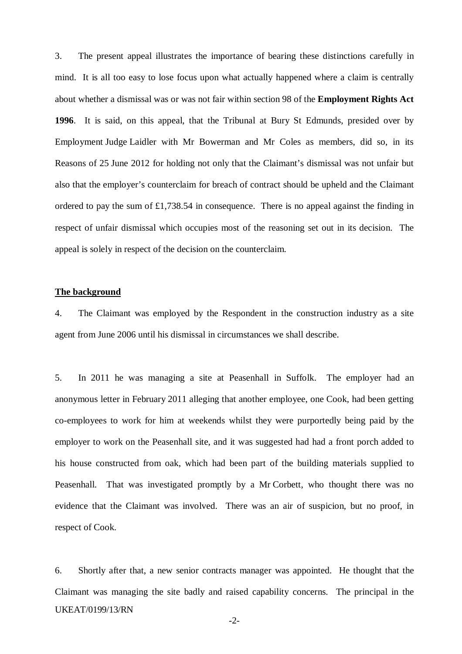3. The present appeal illustrates the importance of bearing these distinctions carefully in mind. It is all too easy to lose focus upon what actually happened where a claim is centrally about whether a dismissal was or was not fair within section 98 of the **Employment Rights Act 1996**. It is said, on this appeal, that the Tribunal at Bury St Edmunds, presided over by Employment Judge Laidler with Mr Bowerman and Mr Coles as members, did so, in its Reasons of 25 June 2012 for holding not only that the Claimant's dismissal was not unfair but also that the employer's counterclaim for breach of contract should be upheld and the Claimant ordered to pay the sum of £1,738.54 in consequence. There is no appeal against the finding in respect of unfair dismissal which occupies most of the reasoning set out in its decision. The appeal is solely in respect of the decision on the counterclaim.

# **The background**

4. The Claimant was employed by the Respondent in the construction industry as a site agent from June 2006 until his dismissal in circumstances we shall describe.

5. In 2011 he was managing a site at Peasenhall in Suffolk. The employer had an anonymous letter in February 2011 alleging that another employee, one Cook, had been getting co-employees to work for him at weekends whilst they were purportedly being paid by the employer to work on the Peasenhall site, and it was suggested had had a front porch added to his house constructed from oak, which had been part of the building materials supplied to Peasenhall. That was investigated promptly by a Mr Corbett, who thought there was no evidence that the Claimant was involved. There was an air of suspicion, but no proof, in respect of Cook.

UKEAT/0199/13/RN 6. Shortly after that, a new senior contracts manager was appointed. He thought that the Claimant was managing the site badly and raised capability concerns. The principal in the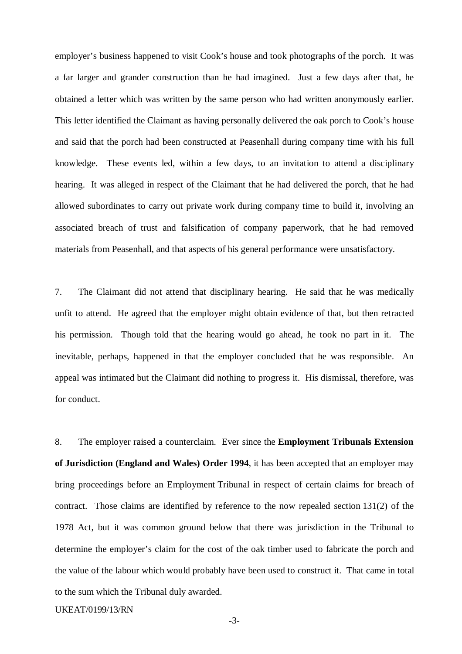employer's business happened to visit Cook's house and took photographs of the porch. It was a far larger and grander construction than he had imagined. Just a few days after that, he obtained a letter which was written by the same person who had written anonymously earlier. This letter identified the Claimant as having personally delivered the oak porch to Cook's house and said that the porch had been constructed at Peasenhall during company time with his full knowledge. These events led, within a few days, to an invitation to attend a disciplinary hearing. It was alleged in respect of the Claimant that he had delivered the porch, that he had allowed subordinates to carry out private work during company time to build it, involving an associated breach of trust and falsification of company paperwork, that he had removed materials from Peasenhall, and that aspects of his general performance were unsatisfactory.

7. The Claimant did not attend that disciplinary hearing. He said that he was medically unfit to attend. He agreed that the employer might obtain evidence of that, but then retracted his permission. Though told that the hearing would go ahead, he took no part in it. The inevitable, perhaps, happened in that the employer concluded that he was responsible. An appeal was intimated but the Claimant did nothing to progress it. His dismissal, therefore, was for conduct.

8. The employer raised a counterclaim. Ever since the **Employment Tribunals Extension of Jurisdiction (England and Wales) Order 1994**, it has been accepted that an employer may bring proceedings before an Employment Tribunal in respect of certain claims for breach of contract. Those claims are identified by reference to the now repealed section 131(2) of the 1978 Act, but it was common ground below that there was jurisdiction in the Tribunal to determine the employer's claim for the cost of the oak timber used to fabricate the porch and the value of the labour which would probably have been used to construct it. That came in total to the sum which the Tribunal duly awarded.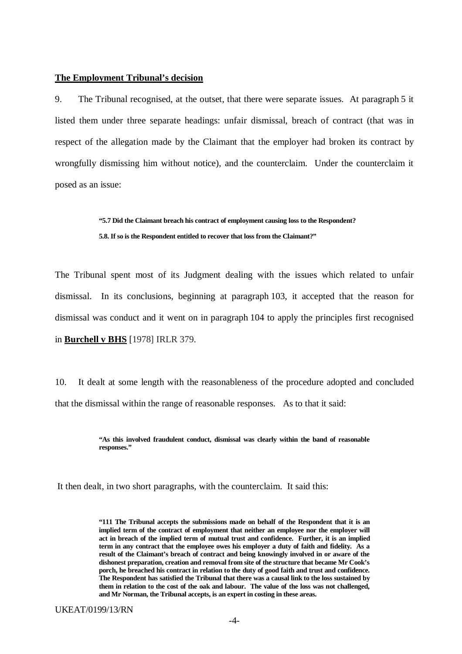#### **The Employment Tribunal's decision**

9. The Tribunal recognised, at the outset, that there were separate issues. At paragraph 5 it listed them under three separate headings: unfair dismissal, breach of contract (that was in respect of the allegation made by the Claimant that the employer had broken its contract by wrongfully dismissing him without notice), and the counterclaim. Under the counterclaim it posed as an issue:

> **"5.7 Did the Claimant breach his contract of employment causing loss to the Respondent? 5.8. If so is the Respondent entitled to recover that loss from the Claimant?"**

The Tribunal spent most of its Judgment dealing with the issues which related to unfair dismissal. In its conclusions, beginning at paragraph 103, it accepted that the reason for dismissal was conduct and it went on in paragraph 104 to apply the principles first recognised in **Burchell v BHS** [1978] IRLR 379.

10. It dealt at some length with the reasonableness of the procedure adopted and concluded that the dismissal within the range of reasonable responses. As to that it said:

> **"As this involved fraudulent conduct, dismissal was clearly within the band of reasonable responses."**

It then dealt, in two short paragraphs, with the counterclaim. It said this:

**"111 The Tribunal accepts the submissions made on behalf of the Respondent that it is an implied term of the contract of employment that neither an employee nor the employer will act in breach of the implied term of mutual trust and confidence. Further, it is an implied term in any contract that the employee owes his employer a duty of faith and fidelity. As a result of the Claimant's breach of contract and being knowingly involved in or aware of the dishonest preparation, creation and removal from site of the structure that became Mr Cook's porch, he breached his contract in relation to the duty of good faith and trust and confidence. The Respondent has satisfied the Tribunal that there was a causal link to the loss sustained by them in relation to the cost of the oak and labour. The value of the loss was not challenged, and Mr Norman, the Tribunal accepts, is an expert in costing in these areas.**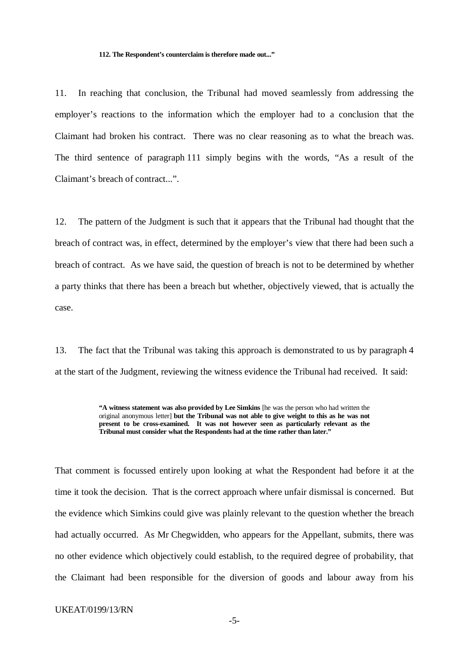#### **112. The Respondent's counterclaim is therefore made out..."**

11. In reaching that conclusion, the Tribunal had moved seamlessly from addressing the employer's reactions to the information which the employer had to a conclusion that the Claimant had broken his contract. There was no clear reasoning as to what the breach was. The third sentence of paragraph 111 simply begins with the words, "As a result of the Claimant's breach of contract...".

12. The pattern of the Judgment is such that it appears that the Tribunal had thought that the breach of contract was, in effect, determined by the employer's view that there had been such a breach of contract. As we have said, the question of breach is not to be determined by whether a party thinks that there has been a breach but whether, objectively viewed, that is actually the case.

13. The fact that the Tribunal was taking this approach is demonstrated to us by paragraph 4 at the start of the Judgment, reviewing the witness evidence the Tribunal had received. It said:

> **"A witness statement was also provided by Lee Simkins** [he was the person who had written the original anonymous letter] **but the Tribunal was not able to give weight to this as he was not present to be cross-examined. It was not however seen as particularly relevant as the Tribunal must consider what the Respondents had at the time rather than later."**

That comment is focussed entirely upon looking at what the Respondent had before it at the time it took the decision. That is the correct approach where unfair dismissal is concerned. But the evidence which Simkins could give was plainly relevant to the question whether the breach had actually occurred. As Mr Chegwidden, who appears for the Appellant, submits, there was no other evidence which objectively could establish, to the required degree of probability, that the Claimant had been responsible for the diversion of goods and labour away from his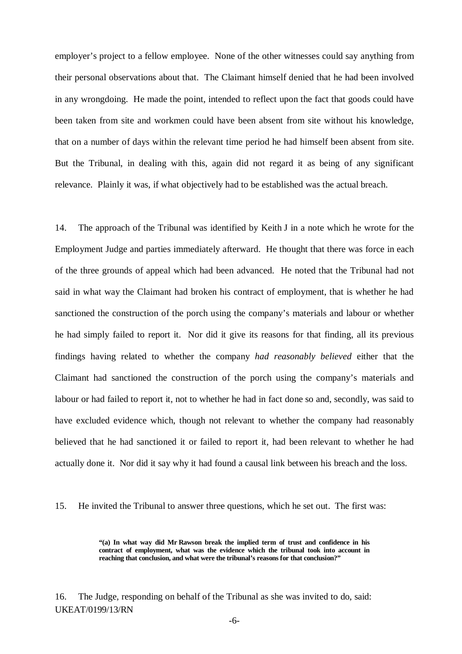employer's project to a fellow employee. None of the other witnesses could say anything from their personal observations about that. The Claimant himself denied that he had been involved in any wrongdoing. He made the point, intended to reflect upon the fact that goods could have been taken from site and workmen could have been absent from site without his knowledge, that on a number of days within the relevant time period he had himself been absent from site. But the Tribunal, in dealing with this, again did not regard it as being of any significant relevance. Plainly it was, if what objectively had to be established was the actual breach.

14. The approach of the Tribunal was identified by Keith J in a note which he wrote for the Employment Judge and parties immediately afterward. He thought that there was force in each of the three grounds of appeal which had been advanced. He noted that the Tribunal had not said in what way the Claimant had broken his contract of employment, that is whether he had sanctioned the construction of the porch using the company's materials and labour or whether he had simply failed to report it. Nor did it give its reasons for that finding, all its previous findings having related to whether the company *had reasonably believed* either that the Claimant had sanctioned the construction of the porch using the company's materials and labour or had failed to report it, not to whether he had in fact done so and, secondly, was said to have excluded evidence which, though not relevant to whether the company had reasonably believed that he had sanctioned it or failed to report it, had been relevant to whether he had actually done it. Nor did it say why it had found a causal link between his breach and the loss.

15. He invited the Tribunal to answer three questions, which he set out. The first was:

**"(a) In what way did Mr Rawson break the implied term of trust and confidence in his contract of employment, what was the evidence which the tribunal took into account in reaching that conclusion, and what were the tribunal's reasons for that conclusion?"**

UKEAT/0199/13/RN 16. The Judge, responding on behalf of the Tribunal as she was invited to do, said: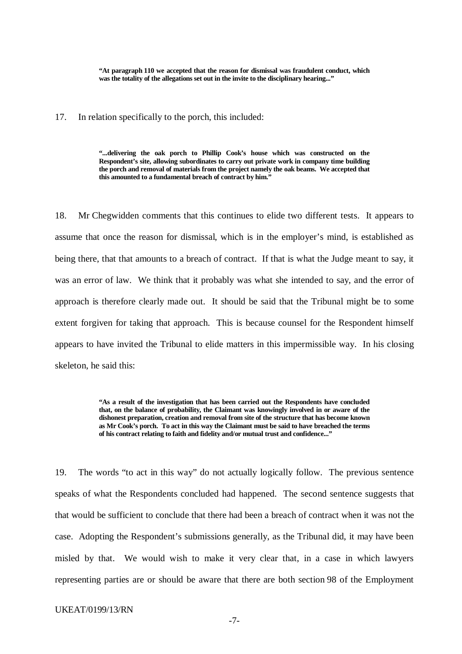**"At paragraph 110 we accepted that the reason for dismissal was fraudulent conduct, which was the totality of the allegations set out in the invite to the disciplinary hearing..."**

17. In relation specifically to the porch, this included:

**"...delivering the oak porch to Phillip Cook's house which was constructed on the Respondent's site, allowing subordinates to carry out private work in company time building the porch and removal of materials from the project namely the oak beams. We accepted that this amounted to a fundamental breach of contract by him."** 

18. Mr Chegwidden comments that this continues to elide two different tests. It appears to assume that once the reason for dismissal, which is in the employer's mind, is established as being there, that that amounts to a breach of contract. If that is what the Judge meant to say, it was an error of law. We think that it probably was what she intended to say, and the error of approach is therefore clearly made out. It should be said that the Tribunal might be to some extent forgiven for taking that approach. This is because counsel for the Respondent himself appears to have invited the Tribunal to elide matters in this impermissible way. In his closing skeleton, he said this:

> **"As a result of the investigation that has been carried out the Respondents have concluded that, on the balance of probability, the Claimant was knowingly involved in or aware of the dishonest preparation, creation and removal from site of the structure that has become known as Mr Cook's porch. To act in this way the Claimant must be said to have breached the terms of his contract relating to faith and fidelity and/or mutual trust and confidence..."**

19. The words "to act in this way" do not actually logically follow. The previous sentence speaks of what the Respondents concluded had happened. The second sentence suggests that that would be sufficient to conclude that there had been a breach of contract when it was not the case. Adopting the Respondent's submissions generally, as the Tribunal did, it may have been misled by that. We would wish to make it very clear that, in a case in which lawyers representing parties are or should be aware that there are both section 98 of the Employment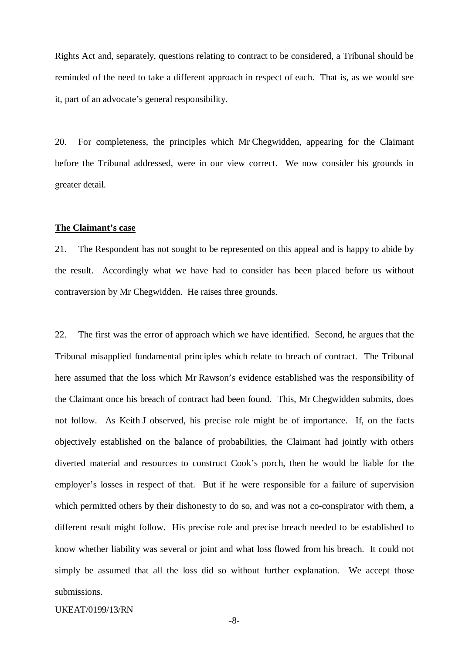Rights Act and, separately, questions relating to contract to be considered, a Tribunal should be reminded of the need to take a different approach in respect of each. That is, as we would see it, part of an advocate's general responsibility.

20. For completeness, the principles which Mr Chegwidden, appearing for the Claimant before the Tribunal addressed, were in our view correct. We now consider his grounds in greater detail.

# **The Claimant's case**

21. The Respondent has not sought to be represented on this appeal and is happy to abide by the result. Accordingly what we have had to consider has been placed before us without contraversion by Mr Chegwidden. He raises three grounds.

22. The first was the error of approach which we have identified. Second, he argues that the Tribunal misapplied fundamental principles which relate to breach of contract. The Tribunal here assumed that the loss which Mr Rawson's evidence established was the responsibility of the Claimant once his breach of contract had been found. This, Mr Chegwidden submits, does not follow. As Keith J observed, his precise role might be of importance. If, on the facts objectively established on the balance of probabilities, the Claimant had jointly with others diverted material and resources to construct Cook's porch, then he would be liable for the employer's losses in respect of that. But if he were responsible for a failure of supervision which permitted others by their dishonesty to do so, and was not a co-conspirator with them, a different result might follow. His precise role and precise breach needed to be established to know whether liability was several or joint and what loss flowed from his breach. It could not simply be assumed that all the loss did so without further explanation. We accept those submissions.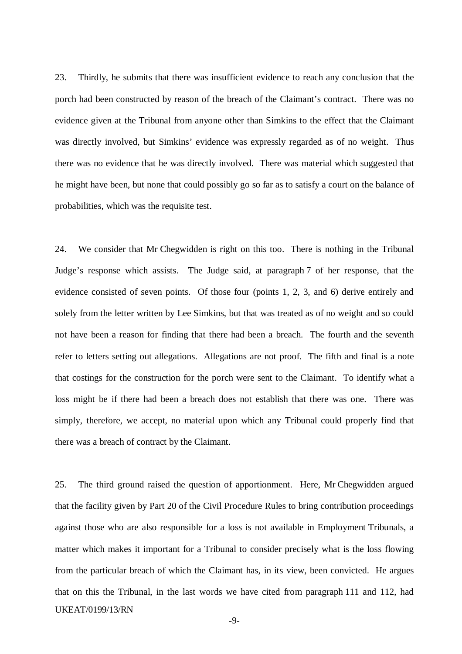23. Thirdly, he submits that there was insufficient evidence to reach any conclusion that the porch had been constructed by reason of the breach of the Claimant's contract. There was no evidence given at the Tribunal from anyone other than Simkins to the effect that the Claimant was directly involved, but Simkins' evidence was expressly regarded as of no weight. Thus there was no evidence that he was directly involved. There was material which suggested that he might have been, but none that could possibly go so far as to satisfy a court on the balance of probabilities, which was the requisite test.

24. We consider that Mr Chegwidden is right on this too. There is nothing in the Tribunal Judge's response which assists. The Judge said, at paragraph 7 of her response, that the evidence consisted of seven points. Of those four (points 1, 2, 3, and 6) derive entirely and solely from the letter written by Lee Simkins, but that was treated as of no weight and so could not have been a reason for finding that there had been a breach. The fourth and the seventh refer to letters setting out allegations. Allegations are not proof. The fifth and final is a note that costings for the construction for the porch were sent to the Claimant. To identify what a loss might be if there had been a breach does not establish that there was one. There was simply, therefore, we accept, no material upon which any Tribunal could properly find that there was a breach of contract by the Claimant.

UKEAT/0199/13/RN 25. The third ground raised the question of apportionment. Here, Mr Chegwidden argued that the facility given by Part 20 of the Civil Procedure Rules to bring contribution proceedings against those who are also responsible for a loss is not available in Employment Tribunals, a matter which makes it important for a Tribunal to consider precisely what is the loss flowing from the particular breach of which the Claimant has, in its view, been convicted. He argues that on this the Tribunal, in the last words we have cited from paragraph 111 and 112, had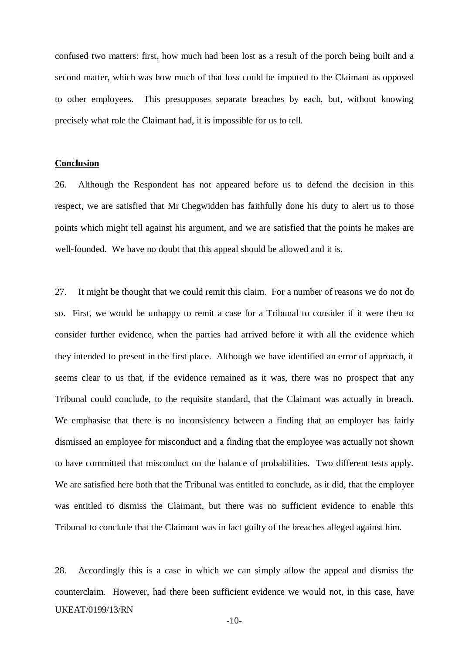confused two matters: first, how much had been lost as a result of the porch being built and a second matter, which was how much of that loss could be imputed to the Claimant as opposed to other employees. This presupposes separate breaches by each, but, without knowing precisely what role the Claimant had, it is impossible for us to tell.

### **Conclusion**

26. Although the Respondent has not appeared before us to defend the decision in this respect, we are satisfied that Mr Chegwidden has faithfully done his duty to alert us to those points which might tell against his argument, and we are satisfied that the points he makes are well-founded. We have no doubt that this appeal should be allowed and it is.

27. It might be thought that we could remit this claim. For a number of reasons we do not do so. First, we would be unhappy to remit a case for a Tribunal to consider if it were then to consider further evidence, when the parties had arrived before it with all the evidence which they intended to present in the first place. Although we have identified an error of approach, it seems clear to us that, if the evidence remained as it was, there was no prospect that any Tribunal could conclude, to the requisite standard, that the Claimant was actually in breach. We emphasise that there is no inconsistency between a finding that an employer has fairly dismissed an employee for misconduct and a finding that the employee was actually not shown to have committed that misconduct on the balance of probabilities. Two different tests apply. We are satisfied here both that the Tribunal was entitled to conclude, as it did, that the employer was entitled to dismiss the Claimant, but there was no sufficient evidence to enable this Tribunal to conclude that the Claimant was in fact guilty of the breaches alleged against him.

UKEAT/0199/13/RN 28. Accordingly this is a case in which we can simply allow the appeal and dismiss the counterclaim. However, had there been sufficient evidence we would not, in this case, have